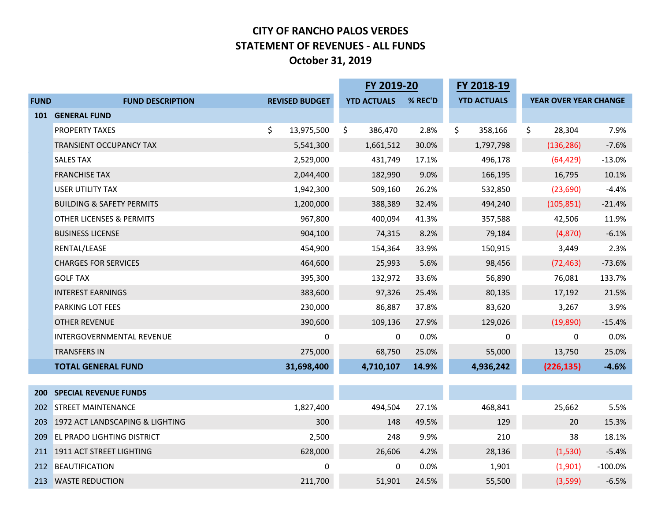### **CITY OF RANCHO PALOS VERDES STATEMENT OF REVENUES - ALL FUNDS October 31, 2019**

|             | FY 2019-20                           |    | FY 2018-19            |                    |         |                    |    |                       |            |
|-------------|--------------------------------------|----|-----------------------|--------------------|---------|--------------------|----|-----------------------|------------|
| <b>FUND</b> | <b>FUND DESCRIPTION</b>              |    | <b>REVISED BUDGET</b> | <b>YTD ACTUALS</b> | % REC'D | <b>YTD ACTUALS</b> |    | YEAR OVER YEAR CHANGE |            |
| 101         | <b>GENERAL FUND</b>                  |    |                       |                    |         |                    |    |                       |            |
|             | <b>PROPERTY TAXES</b>                | \$ | 13,975,500            | \$<br>386,470      | 2.8%    | \$<br>358,166      | \$ | 28,304                | 7.9%       |
|             | <b>TRANSIENT OCCUPANCY TAX</b>       |    | 5,541,300             | 1,661,512          | 30.0%   | 1,797,798          |    | (136, 286)            | $-7.6%$    |
|             | <b>SALES TAX</b>                     |    | 2,529,000             | 431,749            | 17.1%   | 496,178            |    | (64, 429)             | $-13.0%$   |
|             | <b>FRANCHISE TAX</b>                 |    | 2,044,400             | 182,990            | 9.0%    | 166,195            |    | 16,795                | 10.1%      |
|             | <b>USER UTILITY TAX</b>              |    | 1,942,300             | 509,160            | 26.2%   | 532,850            |    | (23, 690)             | $-4.4%$    |
|             | <b>BUILDING &amp; SAFETY PERMITS</b> |    | 1,200,000             | 388,389            | 32.4%   | 494,240            |    | (105, 851)            | $-21.4%$   |
|             | <b>OTHER LICENSES &amp; PERMITS</b>  |    | 967,800               | 400,094            | 41.3%   | 357,588            |    | 42,506                | 11.9%      |
|             | <b>BUSINESS LICENSE</b>              |    | 904,100               | 74,315             | 8.2%    | 79,184             |    | (4,870)               | $-6.1%$    |
|             | RENTAL/LEASE                         |    | 454,900               | 154,364            | 33.9%   | 150,915            |    | 3,449                 | 2.3%       |
|             | <b>CHARGES FOR SERVICES</b>          |    | 464,600               | 25,993             | 5.6%    | 98,456             |    | (72, 463)             | $-73.6%$   |
|             | <b>GOLF TAX</b>                      |    | 395,300               | 132,972            | 33.6%   | 56,890             |    | 76,081                | 133.7%     |
|             | <b>INTEREST EARNINGS</b>             |    | 383,600               | 97,326             | 25.4%   | 80,135             |    | 17,192                | 21.5%      |
|             | <b>PARKING LOT FEES</b>              |    | 230,000               | 86,887             | 37.8%   | 83,620             |    | 3,267                 | 3.9%       |
|             | <b>OTHER REVENUE</b>                 |    | 390,600               | 109,136            | 27.9%   | 129,026            |    | (19, 890)             | $-15.4%$   |
|             | INTERGOVERNMENTAL REVENUE            |    | 0                     | 0                  | 0.0%    | 0                  |    | 0                     | 0.0%       |
|             | <b>TRANSFERS IN</b>                  |    | 275,000               | 68,750             | 25.0%   | 55,000             |    | 13,750                | 25.0%      |
|             | <b>TOTAL GENERAL FUND</b>            |    | 31,698,400            | 4,710,107          | 14.9%   | 4,936,242          |    | (226, 135)            | $-4.6%$    |
|             |                                      |    |                       |                    |         |                    |    |                       |            |
| <b>200</b>  | <b>SPECIAL REVENUE FUNDS</b>         |    |                       |                    |         |                    |    |                       |            |
| 202         | <b>STREET MAINTENANCE</b>            |    | 1,827,400             | 494,504            | 27.1%   | 468,841            |    | 25,662                | 5.5%       |
| 203         | 1972 ACT LANDSCAPING & LIGHTING      |    | 300                   | 148                | 49.5%   | 129                |    | 20                    | 15.3%      |
| 209         | <b>EL PRADO LIGHTING DISTRICT</b>    |    | 2,500                 | 248                | 9.9%    | 210                |    | 38                    | 18.1%      |
| 211         | 1911 ACT STREET LIGHTING             |    | 628,000               | 26,606             | 4.2%    | 28,136             |    | (1,530)               | $-5.4%$    |
| 212         | BEAUTIFICATION                       |    | $\Omega$              | 0                  | 0.0%    | 1,901              |    | (1,901)               | $-100.0\%$ |
| 213         | <b>WASTE REDUCTION</b>               |    | 211,700               | 51,901             | 24.5%   | 55,500             |    | (3,599)               | $-6.5%$    |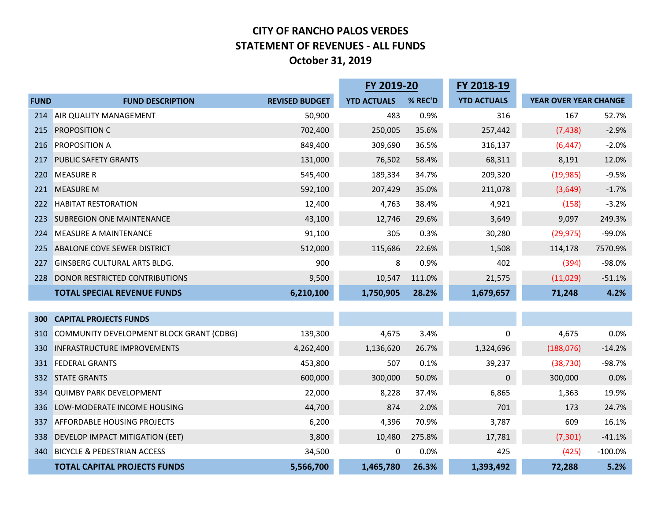### **CITY OF RANCHO PALOS VERDES STATEMENT OF REVENUES - ALL FUNDS October 31, 2019**

|             |                                          |                       | FY 2019-20         |         | FY 2018-19         |                       |           |
|-------------|------------------------------------------|-----------------------|--------------------|---------|--------------------|-----------------------|-----------|
| <b>FUND</b> | <b>FUND DESCRIPTION</b>                  | <b>REVISED BUDGET</b> | <b>YTD ACTUALS</b> | % REC'D | <b>YTD ACTUALS</b> | YEAR OVER YEAR CHANGE |           |
| 214         | AIR QUALITY MANAGEMENT                   | 50,900                | 483                | 0.9%    | 316                | 167                   | 52.7%     |
| 215         | <b>PROPOSITION C</b>                     | 702,400               | 250,005            | 35.6%   | 257,442            | (7, 438)              | $-2.9%$   |
| 216         | <b>PROPOSITION A</b>                     | 849,400               | 309,690            | 36.5%   | 316,137            | (6, 447)              | $-2.0%$   |
| 217         | <b>PUBLIC SAFETY GRANTS</b>              | 131,000               | 76,502             | 58.4%   | 68,311             | 8,191                 | 12.0%     |
| 220         | <b>MEASURE R</b>                         | 545,400               | 189,334            | 34.7%   | 209,320            | (19, 985)             | $-9.5%$   |
| 221         | <b>MEASURE M</b>                         | 592,100               | 207,429            | 35.0%   | 211,078            | (3,649)               | $-1.7%$   |
| 222         | <b>HABITAT RESTORATION</b>               | 12,400                | 4,763              | 38.4%   | 4,921              | (158)                 | $-3.2%$   |
| 223         | <b>SUBREGION ONE MAINTENANCE</b>         | 43,100                | 12,746             | 29.6%   | 3,649              | 9,097                 | 249.3%    |
| 224         | <b>MEASURE A MAINTENANCE</b>             | 91,100                | 305                | 0.3%    | 30,280             | (29, 975)             | $-99.0%$  |
| 225         | ABALONE COVE SEWER DISTRICT              | 512,000               | 115,686            | 22.6%   | 1,508              | 114,178               | 7570.9%   |
| 227         | <b>GINSBERG CULTURAL ARTS BLDG.</b>      | 900                   | 8                  | 0.9%    | 402                | (394)                 | $-98.0%$  |
| 228         | DONOR RESTRICTED CONTRIBUTIONS           | 9,500                 | 10,547             | 111.0%  | 21,575             | (11,029)              | $-51.1%$  |
|             | <b>TOTAL SPECIAL REVENUE FUNDS</b>       | 6,210,100             | 1,750,905          | 28.2%   | 1,679,657          | 71,248                | 4.2%      |
|             |                                          |                       |                    |         |                    |                       |           |
| 300         | <b>CAPITAL PROJECTS FUNDS</b>            |                       |                    |         |                    |                       |           |
| 310         | COMMUNITY DEVELOPMENT BLOCK GRANT (CDBG) | 139,300               | 4,675              | 3.4%    | $\pmb{0}$          | 4,675                 | 0.0%      |
| 330         | <b>INFRASTRUCTURE IMPROVEMENTS</b>       | 4,262,400             | 1,136,620          | 26.7%   | 1,324,696          | (188, 076)            | $-14.2%$  |
| 331         | <b>FEDERAL GRANTS</b>                    | 453,800               | 507                | 0.1%    | 39,237             | (38, 730)             | $-98.7%$  |
| 332         | <b>STATE GRANTS</b>                      | 600,000               | 300,000            | 50.0%   | 0                  | 300,000               | 0.0%      |
| 334         | <b>QUIMBY PARK DEVELOPMENT</b>           | 22,000                | 8,228              | 37.4%   | 6,865              | 1,363                 | 19.9%     |
| 336         | LOW-MODERATE INCOME HOUSING              | 44,700                | 874                | 2.0%    | 701                | 173                   | 24.7%     |
| 337         | <b>AFFORDABLE HOUSING PROJECTS</b>       | 6,200                 | 4,396              | 70.9%   | 3,787              | 609                   | 16.1%     |
| 338         | DEVELOP IMPACT MITIGATION (EET)          | 3,800                 | 10,480             | 275.8%  | 17,781             | (7, 301)              | $-41.1%$  |
| 340         | <b>BICYCLE &amp; PEDESTRIAN ACCESS</b>   | 34,500                | 0                  | 0.0%    | 425                | (425)                 | $-100.0%$ |
|             | <b>TOTAL CAPITAL PROJECTS FUNDS</b>      | 5,566,700             | 1,465,780          | 26.3%   | 1,393,492          | 72,288                | 5.2%      |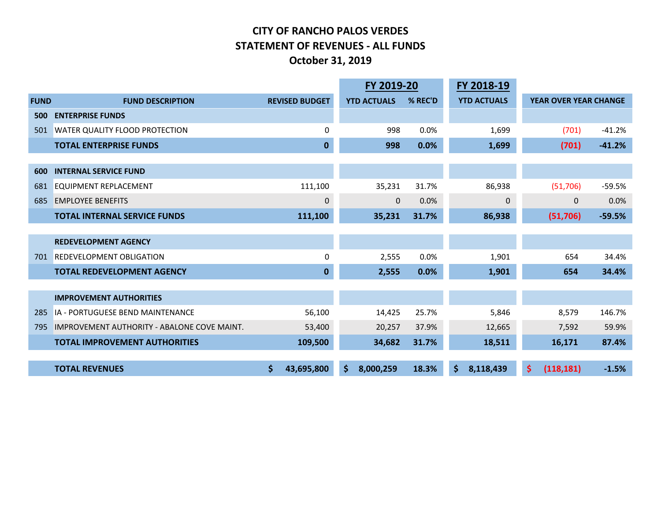### **CITY OF RANCHO PALOS VERDES STATEMENT OF REVENUES - ALL FUNDS October 31, 2019**

|             |                                                    |    |                       | FY 2019-20         |         |     | FY 2018-19         |                              |          |
|-------------|----------------------------------------------------|----|-----------------------|--------------------|---------|-----|--------------------|------------------------------|----------|
| <b>FUND</b> | <b>FUND DESCRIPTION</b>                            |    | <b>REVISED BUDGET</b> | <b>YTD ACTUALS</b> | % REC'D |     | <b>YTD ACTUALS</b> | <b>YEAR OVER YEAR CHANGE</b> |          |
| 500         | <b>ENTERPRISE FUNDS</b>                            |    |                       |                    |         |     |                    |                              |          |
| 501         | <b>WATER QUALITY FLOOD PROTECTION</b>              |    | 0                     | 998                | 0.0%    |     | 1,699              | (701)                        | $-41.2%$ |
|             | <b>TOTAL ENTERPRISE FUNDS</b>                      |    | $\mathbf{0}$          | 998                | 0.0%    |     | 1,699              | (701)                        | $-41.2%$ |
|             |                                                    |    |                       |                    |         |     |                    |                              |          |
| 600         | <b>INTERNAL SERVICE FUND</b>                       |    |                       |                    |         |     |                    |                              |          |
| 681         | <b>EQUIPMENT REPLACEMENT</b>                       |    | 111,100               | 35,231             | 31.7%   |     | 86,938             | (51,706)                     | $-59.5%$ |
| 685         | <b>EMPLOYEE BENEFITS</b>                           |    | $\Omega$              | $\mathbf 0$        | 0.0%    |     | 0                  | 0                            | 0.0%     |
|             | <b>TOTAL INTERNAL SERVICE FUNDS</b>                |    | 111,100               | 35,231             | 31.7%   |     | 86,938             | (51,706)                     | $-59.5%$ |
|             |                                                    |    |                       |                    |         |     |                    |                              |          |
|             | <b>REDEVELOPMENT AGENCY</b>                        |    |                       |                    |         |     |                    |                              |          |
| 701         | <b>REDEVELOPMENT OBLIGATION</b>                    |    | 0                     | 2,555              | 0.0%    |     | 1,901              | 654                          | 34.4%    |
|             | <b>TOTAL REDEVELOPMENT AGENCY</b>                  |    | $\mathbf{0}$          | 2,555              | 0.0%    |     | 1,901              | 654                          | 34.4%    |
|             |                                                    |    |                       |                    |         |     |                    |                              |          |
|             | <b>IMPROVEMENT AUTHORITIES</b>                     |    |                       |                    |         |     |                    |                              |          |
| 285         | IA - PORTUGUESE BEND MAINTENANCE                   |    | 56,100                | 14,425             | 25.7%   |     | 5,846              | 8,579                        | 146.7%   |
| 795         | <b>IMPROVEMENT AUTHORITY - ABALONE COVE MAINT.</b> |    | 53,400                | 20,257             | 37.9%   |     | 12,665             | 7,592                        | 59.9%    |
|             | <b>TOTAL IMPROVEMENT AUTHORITIES</b>               |    | 109,500               | 34,682             | 31.7%   |     | 18,511             | 16,171                       | 87.4%    |
|             |                                                    |    |                       |                    |         |     |                    |                              |          |
|             | <b>TOTAL REVENUES</b>                              | \$ | 43,695,800            | \$<br>8,000,259    | 18.3%   | \$. | 8,118,439          | \$<br>(118, 181)             | $-1.5%$  |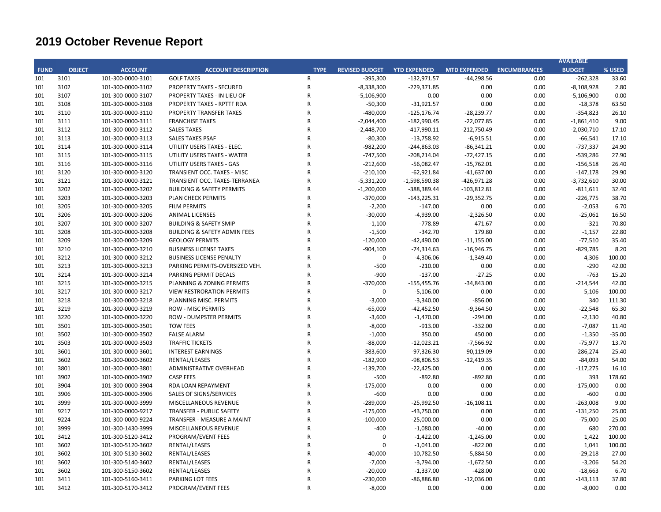|             |               |                   |                                         |                |                       |                     |                     |                     | <b>AVAILABLE</b> |          |
|-------------|---------------|-------------------|-----------------------------------------|----------------|-----------------------|---------------------|---------------------|---------------------|------------------|----------|
| <b>FUND</b> | <b>OBJECT</b> | <b>ACCOUNT</b>    | <b>ACCOUNT DESCRIPTION</b>              | <b>TYPE</b>    | <b>REVISED BUDGET</b> | <b>YTD EXPENDED</b> | <b>MTD EXPENDED</b> | <b>ENCUMBRANCES</b> | <b>BUDGET</b>    | % USED   |
| 101         | 3101          | 101-300-0000-3101 | <b>GOLF TAXES</b>                       | R              | $-395,300$            | $-132,971.57$       | $-44,298.56$        | 0.00                | $-262,328$       | 33.60    |
| 101         | 3102          | 101-300-0000-3102 | <b>PROPERTY TAXES - SECURED</b>         | R              | $-8,338,300$          | $-229,371.85$       | 0.00                | 0.00                | $-8,108,928$     | 2.80     |
| 101         | 3107          | 101-300-0000-3107 | PROPERTY TAXES - IN LIEU OF             | R              | $-5,106,900$          | 0.00                | 0.00                | 0.00                | $-5,106,900$     | 0.00     |
| 101         | 3108          | 101-300-0000-3108 | PROPERTY TAXES - RPTTF RDA              | R              | $-50,300$             | $-31,921.57$        | 0.00                | 0.00                | $-18,378$        | 63.50    |
| 101         | 3110          | 101-300-0000-3110 | PROPERTY TRANSFER TAXES                 | $\mathsf{R}$   | $-480,000$            | $-125, 176.74$      | $-28,239.77$        | 0.00                | -354,823         | 26.10    |
| 101         | 3111          | 101-300-0000-3111 | <b>FRANCHISE TAXES</b>                  | R              | $-2,044,400$          | $-182,990.45$       | $-22,077.85$        | 0.00                | $-1,861,410$     | 9.00     |
| 101         | 3112          | 101-300-0000-3112 | <b>SALES TAXES</b>                      | R              | $-2,448,700$          | $-417,990.11$       | $-212,750.49$       | 0.00                | $-2,030,710$     | 17.10    |
| 101         | 3113          | 101-300-0000-3113 | <b>SALES TAXES PSAF</b>                 | R              | $-80,300$             | $-13,758.92$        | $-6,915.51$         | 0.00                | $-66,541$        | 17.10    |
| 101         | 3114          | 101-300-0000-3114 | UTILITY USERS TAXES - ELEC.             | R              | $-982,200$            | $-244,863.03$       | $-86,341.21$        | 0.00                | $-737,337$       | 24.90    |
| 101         | 3115          | 101-300-0000-3115 | UTILITY USERS TAXES - WATER             | R              | $-747,500$            | $-208,214.04$       | $-72,427.15$        | 0.00                | -539,286         | 27.90    |
| 101         | 3116          | 101-300-0000-3116 | UTILITY USERS TAXES - GAS               | R              | $-212,600$            | $-56,082.47$        | $-15,762.01$        | 0.00                | $-156,518$       | 26.40    |
| 101         | 3120          | 101-300-0000-3120 | TRANSIENT OCC. TAXES - MISC             | $\mathsf{R}$   | $-210,100$            | $-62,921.84$        | $-41,637.00$        | 0.00                | $-147,178$       | 29.90    |
| 101         | 3121          | 101-300-0000-3121 | TRANSIENT OCC. TAXES-TERRANEA           | R              | $-5,331,200$          | $-1,598,590.38$     | $-426,971.28$       | 0.00                | $-3,732,610$     | 30.00    |
| 101         | 3202          | 101-300-0000-3202 | <b>BUILDING &amp; SAFETY PERMITS</b>    | R              | $-1,200,000$          | -388,389.44         | $-103,812.81$       | 0.00                | $-811,611$       | 32.40    |
| 101         | 3203          | 101-300-0000-3203 | <b>PLAN CHECK PERMITS</b>               | R              | $-370,000$            | $-143,225.31$       | $-29,352.75$        | 0.00                | $-226,775$       | 38.70    |
| 101         | 3205          | 101-300-0000-3205 | <b>FILM PERMITS</b>                     | R              | $-2,200$              | $-147.00$           | 0.00                | 0.00                | $-2,053$         | 6.70     |
| 101         | 3206          | 101-300-0000-3206 | <b>ANIMAL LICENSES</b>                  | R              | $-30,000$             | $-4,939.00$         | $-2,326.50$         | 0.00                | $-25,061$        | 16.50    |
| 101         | 3207          | 101-300-0000-3207 | <b>BUILDING &amp; SAFETY SMIP</b>       | R              | $-1,100$              | $-778.89$           | 471.67              | 0.00                | $-321$           | 70.80    |
| 101         | 3208          | 101-300-0000-3208 | <b>BUILDING &amp; SAFETY ADMIN FEES</b> | R              | $-1,500$              | $-342.70$           | 179.80              | 0.00                | $-1,157$         | 22.80    |
| 101         | 3209          | 101-300-0000-3209 | <b>GEOLOGY PERMITS</b>                  | R              | $-120,000$            | $-42,490.00$        | $-11,155.00$        | 0.00                | $-77,510$        | 35.40    |
| 101         | 3210          | 101-300-0000-3210 | <b>BUSINESS LICENSE TAXES</b>           | R              | $-904,100$            | $-74,314.63$        | $-16,946.75$        | 0.00                | $-829,785$       | 8.20     |
| 101         | 3212          | 101-300-0000-3212 | <b>BUSINESS LICENSE PENALTY</b>         | R              | $\mathbf 0$           | $-4,306.06$         | $-1,349.40$         | 0.00                | 4,306            | 100.00   |
| 101         | 3213          | 101-300-0000-3213 | PARKING PERMITS-OVERSIZED VEH.          | R              | $-500$                | $-210.00$           | 0.00                | 0.00                | $-290$           | 42.00    |
| 101         | 3214          | 101-300-0000-3214 | PARKING PERMIT DECALS                   | R              | $-900$                | $-137.00$           | $-27.25$            | 0.00                | $-763$           | 15.20    |
| 101         | 3215          | 101-300-0000-3215 | PLANNING & ZONING PERMITS               | R              | $-370,000$            | $-155,455.76$       | $-34,843.00$        | 0.00                | $-214,544$       | 42.00    |
|             | 3217          |                   |                                         | $\overline{R}$ | $\mathbf 0$           |                     |                     |                     |                  | 100.00   |
| 101         |               | 101-300-0000-3217 | <b>VIEW RESTRORATION PERMITS</b>        | R              |                       | $-5,106.00$         | 0.00                | 0.00                | 5,106            |          |
| 101         | 3218          | 101-300-0000-3218 | PLANNING MISC. PERMITS                  |                | $-3,000$              | $-3,340.00$         | $-856.00$           | 0.00                | 340              | 111.30   |
| 101         | 3219          | 101-300-0000-3219 | <b>ROW - MISC PERMITS</b>               | R              | $-65,000$             | -42,452.50          | $-9,364.50$         | 0.00                | $-22,548$        | 65.30    |
| 101         | 3220          | 101-300-0000-3220 | <b>ROW - DUMPSTER PERMITS</b>           | R              | $-3,600$              | $-1,470.00$         | $-294.00$           | 0.00                | $-2,130$         | 40.80    |
| 101         | 3501          | 101-300-0000-3501 | <b>TOW FEES</b>                         | R              | $-8,000$              | $-913.00$           | $-332.00$           | 0.00                | $-7,087$         | 11.40    |
| 101         | 3502          | 101-300-0000-3502 | <b>FALSE ALARM</b>                      | R              | $-1,000$              | 350.00              | 450.00              | 0.00                | $-1,350$         | $-35.00$ |
| 101         | 3503          | 101-300-0000-3503 | <b>TRAFFIC TICKETS</b>                  | R              | $-88,000$             | $-12,023.21$        | $-7,566.92$         | 0.00                | $-75,977$        | 13.70    |
| 101         | 3601          | 101-300-0000-3601 | <b>INTEREST EARNINGS</b>                | R              | $-383,600$            | $-97,326.30$        | 90,119.09           | 0.00                | $-286,274$       | 25.40    |
| 101         | 3602          | 101-300-0000-3602 | RENTAL/LEASES                           | R              | $-182,900$            | -98,806.53          | $-12,419.35$        | 0.00                | $-84,093$        | 54.00    |
| 101         | 3801          | 101-300-0000-3801 | <b>ADMINISTRATIVE OVERHEAD</b>          | $\overline{R}$ | $-139,700$            | $-22,425.00$        | 0.00                | 0.00                | $-117,275$       | 16.10    |
| 101         | 3902          | 101-300-0000-3902 | <b>CASP FEES</b>                        | R              | $-500$                | $-892.80$           | $-892.80$           | 0.00                | 393              | 178.60   |
| 101         | 3904          | 101-300-0000-3904 | RDA LOAN REPAYMENT                      | R              | $-175,000$            | 0.00                | 0.00                | 0.00                | $-175,000$       | 0.00     |
| 101         | 3906          | 101-300-0000-3906 | SALES OF SIGNS/SERVICES                 | R              | $-600$                | 0.00                | 0.00                | 0.00                | $-600$           | 0.00     |
| 101         | 3999          | 101-300-0000-3999 | MISCELLANEOUS REVENUE                   | R              | $-289,000$            | $-25,992.50$        | $-16,108.11$        | 0.00                | $-263,008$       | 9.00     |
| 101         | 9217          | 101-300-0000-9217 | <b>TRANSFER - PUBLIC SAFETY</b>         | R              | $-175,000$            | $-43,750.00$        | 0.00                | 0.00                | $-131,250$       | 25.00    |
| 101         | 9224          | 101-300-0000-9224 | TRANSFER - MEASURE A MAINT              | R              | $-100,000$            | $-25,000.00$        | 0.00                | 0.00                | $-75,000$        | 25.00    |
| 101         | 3999          | 101-300-1430-3999 | MISCELLANEOUS REVENUE                   | $\mathsf{R}$   | $-400$                | $-1,080.00$         | $-40.00$            | 0.00                | 680              | 270.00   |
| 101         | 3412          | 101-300-5120-3412 | PROGRAM/EVENT FEES                      | R              | 0                     | $-1,422.00$         | $-1,245.00$         | 0.00                | 1,422            | 100.00   |
| 101         | 3602          | 101-300-5120-3602 | RENTAL/LEASES                           | R              | 0                     | $-1,041.00$         | $-822.00$           | 0.00                | 1,041            | 100.00   |
| 101         | 3602          | 101-300-5130-3602 | RENTAL/LEASES                           | R              | $-40,000$             | $-10,782.50$        | $-5,884.50$         | 0.00                | $-29,218$        | 27.00    |
| 101         | 3602          | 101-300-5140-3602 | RENTAL/LEASES                           | R              | $-7,000$              | $-3,794.00$         | $-1,672.50$         | 0.00                | $-3,206$         | 54.20    |
| 101         | 3602          | 101-300-5150-3602 | RENTAL/LEASES                           | R              | $-20,000$             | $-1,337.00$         | $-428.00$           | 0.00                | $-18,663$        | 6.70     |
| 101         | 3411          | 101-300-5160-3411 | PARKING LOT FEES                        | R              | $-230,000$            | $-86,886.80$        | $-12,036.00$        | 0.00                | $-143,113$       | 37.80    |
| 101         | 3412          | 101-300-5170-3412 | PROGRAM/EVENT FEES                      | R              | $-8,000$              | 0.00                | 0.00                | 0.00                | $-8,000$         | 0.00     |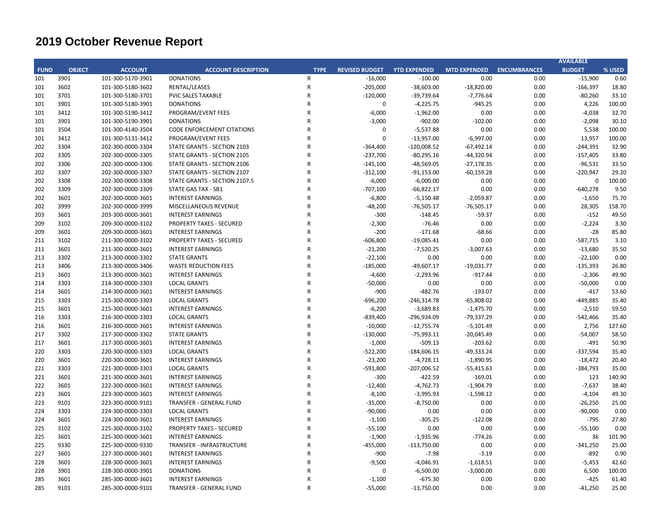|             |               |                   |                                   |                |                       |                     |                     |                     | <b>AVAILABLE</b> |        |
|-------------|---------------|-------------------|-----------------------------------|----------------|-----------------------|---------------------|---------------------|---------------------|------------------|--------|
| <b>FUND</b> | <b>OBJECT</b> | <b>ACCOUNT</b>    | <b>ACCOUNT DESCRIPTION</b>        | <b>TYPE</b>    | <b>REVISED BUDGET</b> | <b>YTD EXPENDED</b> | <b>MTD EXPENDED</b> | <b>ENCUMBRANCES</b> | <b>BUDGET</b>    | % USED |
| 101         | 3901          | 101-300-5170-3901 | <b>DONATIONS</b>                  | R              | $-16,000$             | $-100.00$           | 0.00                | 0.00                | $-15,900$        | 0.60   |
| 101         | 3602          | 101-300-5180-3602 | RENTAL/LEASES                     | $\overline{R}$ | $-205,000$            | $-38,603.00$        | $-18,820.00$        | 0.00                | $-166,397$       | 18.80  |
| 101         | 3701          | 101-300-5180-3701 | <b>PVIC SALES TAXABLE</b>         | R              | $-120,000$            | $-39,739.64$        | $-7,776.64$         | 0.00                | $-80,260$        | 33.10  |
| 101         | 3901          | 101-300-5180-3901 | <b>DONATIONS</b>                  | R              | $\mathbf 0$           | $-4,225.75$         | $-945.25$           | 0.00                | 4,226            | 100.00 |
| 101         | 3412          | 101-300-5190-3412 | PROGRAM/EVENT FEES                | R              | $-6,000$              | $-1,962.00$         | 0.00                | 0.00                | $-4,038$         | 32.70  |
| 101         | 3901          | 101-300-5190-3901 | <b>DONATIONS</b>                  | R              | $-3,000$              | $-902.00$           | $-102.00$           | 0.00                | $-2,098$         | 30.10  |
| 101         | 3504          | 101-300-4140-3504 | <b>CODE ENFORCEMENT CITATIONS</b> | R              | 0                     | $-5,537.88$         | 0.00                | 0.00                | 5,538            | 100.00 |
| 101         | 3412          | 101-300-5131-3412 | PROGRAM/EVENT FEES                | R              | $\Omega$              | $-13,957.00$        | $-6,997.00$         | 0.00                | 13,957           | 100.00 |
| 202         | 3304          | 202-300-0000-3304 | STATE GRANTS - SECTION 2103       | R              | $-364,400$            | $-120,008.52$       | $-67,492.14$        | 0.00                | $-244,391$       | 32.90  |
| 202         | 3305          | 202-300-0000-3305 | STATE GRANTS - SECTION 2105       | R              | $-237,700$            | $-80,295.16$        | $-44,320.94$        | 0.00                | $-157,405$       | 33.80  |
| 202         | 3306          | 202-300-0000-3306 | STATE GRANTS - SECTION 2106       | R              | $-145,100$            | $-48,569.05$        | $-27,178.35$        | 0.00                | $-96,531$        | 33.50  |
| 202         | 3307          | 202-300-0000-3307 | STATE GRANTS - SECTION 2107       | R              | $-312,100$            | $-91,153.00$        | $-60,159.28$        | 0.00                | $-220,947$       | 29.20  |
| 202         | 3308          | 202-300-0000-3308 | STATE GRANTS - SECTION 2107.5     | R              | $-6,000$              | $-6,000.00$         | 0.00                | 0.00                | $\mathbf 0$      | 100.00 |
| 202         | 3309          | 202-300-0000-3309 | <b>STATE GAS TAX - SB1</b>        | R              | $-707,100$            | $-66,822.17$        | 0.00                | 0.00                | $-640,278$       | 9.50   |
| 202         | 3601          | 202-300-0000-3601 | <b>INTEREST EARNINGS</b>          | $\mathsf{R}$   | $-6,800$              | $-5,150.48$         | $-2,059.87$         | 0.00                | $-1,650$         | 75.70  |
| 202         | 3999          | 202-300-0000-3999 | MISCELLANEOUS REVENUE             | R              | $-48,200$             | $-76,505.17$        | $-76,505.17$        | 0.00                | 28,305           | 158.70 |
| 203         | 3601          | 203-300-0000-3601 | <b>INTEREST EARNINGS</b>          | R              | $-300$                | $-148.45$           | $-59.37$            | 0.00                | $-152$           | 49.50  |
| 209         | 3102          | 209-300-0000-3102 | <b>PROPERTY TAXES - SECURED</b>   | R              | $-2,300$              | $-76.46$            | 0.00                | 0.00                | $-2,224$         | 3.30   |
| 209         | 3601          | 209-300-0000-3601 | <b>INTEREST EARNINGS</b>          | R              | $-200$                | $-171.68$           | $-68.66$            | 0.00                | $-28$            | 85.80  |
| 211         | 3102          | 211-300-0000-3102 | <b>PROPERTY TAXES - SECURED</b>   | $\overline{R}$ | $-606,800$            | $-19,085.41$        | 0.00                | 0.00                | $-587,715$       | 3.10   |
| 211         | 3601          | 211-300-0000-3601 | <b>INTEREST EARNINGS</b>          | R              | $-21,200$             | $-7,520.25$         | $-3,007.63$         | 0.00                | $-13,680$        | 35.50  |
| 213         | 3302          | 213-300-0000-3302 | <b>STATE GRANTS</b>               | R              | $-22,100$             | 0.00                | 0.00                | 0.00                | $-22,100$        | 0.00   |
| 213         | 3406          | 213-300-0000-3406 | <b>WASTE REDUCTION FEES</b>       | $\mathsf{R}$   | $-185,000$            | $-49,607.17$        | $-19,031.77$        | 0.00                | $-135,393$       | 26.80  |
| 213         | 3601          | 213-300-0000-3601 | <b>INTEREST EARNINGS</b>          | R              | $-4,600$              | $-2,293.96$         | $-917.44$           | 0.00                | $-2,306$         | 49.90  |
| 214         | 3303          | 214-300-0000-3303 | <b>LOCAL GRANTS</b>               | R              | $-50,000$             | 0.00                | 0.00                | 0.00                | $-50,000$        | 0.00   |
| 214         | 3601          | 214-300-0000-3601 | <b>INTEREST EARNINGS</b>          | R              | $-900$                | $-482.76$           | $-193.07$           | 0.00                | $-417$           | 53.60  |
| 215         | 3303          | 215-300-0000-3303 | <b>LOCAL GRANTS</b>               | R              | $-696,200$            | $-246,314.78$       | $-65,808.02$        | 0.00                | -449,885         | 35.40  |
| 215         | 3601          | 215-300-0000-3601 | <b>INTEREST EARNINGS</b>          | R              | $-6,200$              | $-3,689.83$         | $-1,475.70$         | 0.00                | $-2,510$         | 59.50  |
| 216         | 3303          | 216-300-0000-3303 | <b>LOCAL GRANTS</b>               | R              | $-839,400$            | -296,934.09         | $-79,337.29$        | 0.00                | $-542,466$       | 35.40  |
| 216         | 3601          | 216-300-0000-3601 | <b>INTEREST EARNINGS</b>          | R              | $-10,000$             | $-12,755.74$        | $-5,101.49$         | 0.00                | 2,756            | 127.60 |
| 217         | 3302          | 217-300-0000-3302 | <b>STATE GRANTS</b>               | R              | $-130,000$            | $-75,993.11$        | $-20,045.49$        | 0.00                | $-54,007$        | 58.50  |
| 217         | 3601          | 217-300-0000-3601 | <b>INTEREST EARNINGS</b>          | R              | $-1,000$              | $-509.13$           | $-203.62$           | 0.00                | $-491$           | 50.90  |
| 220         | 3303          | 220-300-0000-3303 | <b>LOCAL GRANTS</b>               | R              | $-522,200$            | $-184,606.15$       | $-49,333.24$        | 0.00                | $-337,594$       | 35.40  |
| 220         | 3601          | 220-300-0000-3601 | <b>INTEREST EARNINGS</b>          | R              | $-23,200$             | $-4,728.11$         | $-1,890.95$         | 0.00                | $-18,472$        | 20.40  |
| 221         | 3303          | 221-300-0000-3303 | <b>LOCAL GRANTS</b>               | R              | $-591,800$            | $-207,006.52$       | $-55,415.63$        | 0.00                | $-384,793$       | 35.00  |
| 221         | 3601          | 221-300-0000-3601 | <b>INTEREST EARNINGS</b>          | R              | $-300$                | $-422.59$           | $-169.01$           | 0.00                | 123              | 140.90 |
| 222         | 3601          | 222-300-0000-3601 | <b>INTEREST EARNINGS</b>          | R              | $-12,400$             | $-4,762.73$         | $-1,904.79$         | 0.00                | $-7,637$         | 38.40  |
| 223         | 3601          | 223-300-0000-3601 | <b>INTEREST EARNINGS</b>          | R              | $-8,100$              | $-3,995.93$         | $-1,598.12$         | 0.00                | $-4,104$         | 49.30  |
| 223         | 9101          | 223-300-0000-9101 | TRANSFER - GENERAL FUND           | R              | $-35,000$             | $-8,750.00$         | 0.00                | 0.00                | $-26,250$        | 25.00  |
| 224         | 3303          | 224-300-0000-3303 | <b>LOCAL GRANTS</b>               | R              | $-90,000$             | 0.00                | 0.00                | 0.00                | $-90,000$        | 0.00   |
| 224         | 3601          | 224-300-0000-3601 | <b>INTEREST EARNINGS</b>          | $\overline{R}$ | $-1,100$              | $-305.25$           | $-122.08$           | 0.00                | $-795$           | 27.80  |
| 225         | 3102          | 225-300-0000-3102 | <b>PROPERTY TAXES - SECURED</b>   | R              | $-55,100$             | 0.00                | 0.00                | 0.00                | $-55,100$        | 0.00   |
| 225         | 3601          | 225-300-0000-3601 | <b>INTEREST EARNINGS</b>          | R              | $-1,900$              | $-1,935.96$         | $-774.26$           | 0.00                | 36               | 101.90 |
| 225         | 9330          | 225-300-0000-9330 | TRANSFER - INFRASTRUCTURE         | R              | $-455,000$            | $-113,750.00$       | 0.00                | 0.00                | $-341,250$       | 25.00  |
| 227         | 3601          | 227-300-0000-3601 | <b>INTEREST EARNINGS</b>          | R              | $-900$                | $-7.98$             | $-3.19$             | 0.00                | $-892$           | 0.90   |
| 228         | 3601          | 228-300-0000-3601 | <b>INTEREST EARNINGS</b>          | R              | $-9,500$              | $-4,046.91$         | $-1,618.51$         | 0.00                | $-5,453$         | 42.60  |
| 228         | 3901          | 228-300-0000-3901 | <b>DONATIONS</b>                  | R              | 0                     | $-6,500.00$         | $-3,000.00$         | 0.00                | 6,500            | 100.00 |
| 285         | 3601          | 285-300-0000-3601 | <b>INTEREST EARNINGS</b>          | R              | $-1,100$              | $-675.30$           | 0.00                | 0.00                | $-425$           | 61.40  |
| 285         | 9101          | 285-300-0000-9101 | TRANSFER - GENERAL FUND           | R              | $-55,000$             | $-13,750.00$        | 0.00                | 0.00                | $-41,250$        | 25.00  |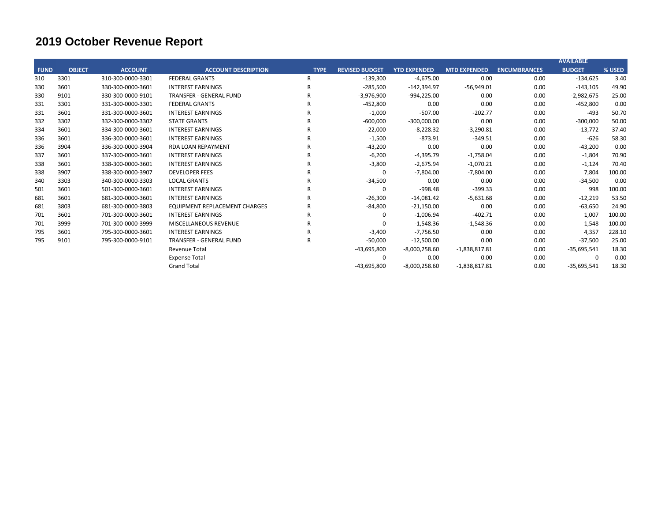|             |               |                   |                                      |             |                       |                     |                     |                     | <b>AVAILABLE</b> |        |
|-------------|---------------|-------------------|--------------------------------------|-------------|-----------------------|---------------------|---------------------|---------------------|------------------|--------|
| <b>FUND</b> | <b>OBJECT</b> | <b>ACCOUNT</b>    | <b>ACCOUNT DESCRIPTION</b>           | <b>TYPE</b> | <b>REVISED BUDGET</b> | <b>YTD EXPENDED</b> | <b>MTD EXPENDED</b> | <b>ENCUMBRANCES</b> | <b>BUDGET</b>    | % USED |
| 310         | 3301          | 310-300-0000-3301 | <b>FEDERAL GRANTS</b>                | R           | $-139,300$            | $-4,675.00$         | 0.00                | 0.00                | $-134,625$       | 3.40   |
| 330         | 3601          | 330-300-0000-3601 | <b>INTEREST EARNINGS</b>             | R           | $-285,500$            | $-142,394.97$       | $-56,949.01$        | 0.00                | $-143,105$       | 49.90  |
| 330         | 9101          | 330-300-0000-9101 | <b>TRANSFER - GENERAL FUND</b>       | R           | $-3,976,900$          | $-994,225.00$       | 0.00                | 0.00                | $-2,982,675$     | 25.00  |
| 331         | 3301          | 331-300-0000-3301 | <b>FEDERAL GRANTS</b>                | R           | $-452,800$            | 0.00                | 0.00                | 0.00                | $-452,800$       | 0.00   |
| 331         | 3601          | 331-300-0000-3601 | <b>INTEREST EARNINGS</b>             | R           | $-1,000$              | $-507.00$           | $-202.77$           | 0.00                | $-493$           | 50.70  |
| 332         | 3302          | 332-300-0000-3302 | <b>STATE GRANTS</b>                  | R           | $-600,000$            | $-300,000.00$       | 0.00                | 0.00                | $-300,000$       | 50.00  |
| 334         | 3601          | 334-300-0000-3601 | <b>INTEREST EARNINGS</b>             | R           | $-22,000$             | $-8,228.32$         | $-3,290.81$         | 0.00                | $-13,772$        | 37.40  |
| 336         | 3601          | 336-300-0000-3601 | <b>INTEREST EARNINGS</b>             | R           | $-1,500$              | $-873.91$           | $-349.51$           | 0.00                | $-626$           | 58.30  |
| 336         | 3904          | 336-300-0000-3904 | <b>RDA LOAN REPAYMENT</b>            | R           | $-43,200$             | 0.00                | 0.00                | 0.00                | $-43,200$        | 0.00   |
| 337         | 3601          | 337-300-0000-3601 | <b>INTEREST EARNINGS</b>             | R           | $-6,200$              | $-4,395.79$         | $-1,758.04$         | 0.00                | $-1,804$         | 70.90  |
| 338         | 3601          | 338-300-0000-3601 | <b>INTEREST EARNINGS</b>             | R           | $-3,800$              | $-2,675.94$         | $-1,070.21$         | 0.00                | $-1,124$         | 70.40  |
| 338         | 3907          | 338-300-0000-3907 | <b>DEVELOPER FEES</b>                | R           | 0                     | $-7,804.00$         | $-7,804.00$         | 0.00                | 7,804            | 100.00 |
| 340         | 3303          | 340-300-0000-3303 | <b>LOCAL GRANTS</b>                  | R           | $-34,500$             | 0.00                | 0.00                | 0.00                | $-34,500$        | 0.00   |
| 501         | 3601          | 501-300-0000-3601 | <b>INTEREST EARNINGS</b>             | R           | 0                     | $-998.48$           | $-399.33$           | 0.00                | 998              | 100.00 |
| 681         | 3601          | 681-300-0000-3601 | <b>INTEREST EARNINGS</b>             | R           | $-26,300$             | $-14,081.42$        | $-5,631.68$         | 0.00                | $-12,219$        | 53.50  |
| 681         | 3803          | 681-300-0000-3803 | <b>EQUIPMENT REPLACEMENT CHARGES</b> | R           | $-84,800$             | $-21,150.00$        | 0.00                | 0.00                | $-63,650$        | 24.90  |
| 701         | 3601          | 701-300-0000-3601 | <b>INTEREST EARNINGS</b>             | R           | 0                     | $-1,006.94$         | $-402.71$           | 0.00                | 1,007            | 100.00 |
| 701         | 3999          | 701-300-0000-3999 | <b>MISCELLANEOUS REVENUE</b>         | R           | 0                     | $-1,548.36$         | $-1,548.36$         | 0.00                | 1,548            | 100.00 |
| 795         | 3601          | 795-300-0000-3601 | <b>INTEREST EARNINGS</b>             | R           | $-3,400$              | $-7,756.50$         | 0.00                | 0.00                | 4,357            | 228.10 |
| 795         | 9101          | 795-300-0000-9101 | <b>TRANSFER - GENERAL FUND</b>       | R           | $-50,000$             | $-12,500.00$        | 0.00                | 0.00                | $-37,500$        | 25.00  |
|             |               |                   | <b>Revenue Total</b>                 |             | -43,695,800           | $-8,000,258.60$     | $-1,838,817.81$     | 0.00                | $-35,695,541$    | 18.30  |
|             |               |                   | <b>Expense Total</b>                 |             | 0                     | 0.00                | 0.00                | 0.00                | O                | 0.00   |
|             |               |                   | <b>Grand Total</b>                   |             | $-43,695,800$         | $-8,000,258.60$     | $-1,838,817.81$     | 0.00                | $-35,695,541$    | 18.30  |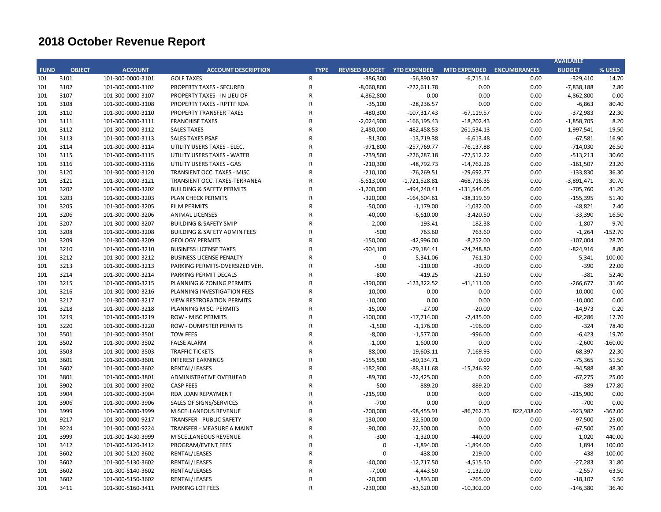|             |               |                   |                                         |                |                                    |                 |                     |                     | <b>AVAILABLE</b> |           |
|-------------|---------------|-------------------|-----------------------------------------|----------------|------------------------------------|-----------------|---------------------|---------------------|------------------|-----------|
| <b>FUND</b> | <b>OBJECT</b> | <b>ACCOUNT</b>    | <b>ACCOUNT DESCRIPTION</b>              | <b>TYPE</b>    | <b>REVISED BUDGET YTD EXPENDED</b> |                 | <b>MTD EXPENDED</b> | <b>ENCUMBRANCES</b> | <b>BUDGET</b>    | % USED    |
| 101         | 3101          | 101-300-0000-3101 | <b>GOLF TAXES</b>                       | $\mathsf{R}$   | $-386,300$                         | $-56,890.37$    | $-6,715.14$         | 0.00                | $-329,410$       | 14.70     |
| 101         | 3102          | 101-300-0000-3102 | <b>PROPERTY TAXES - SECURED</b>         | $\mathsf{R}$   | $-8,060,800$                       | $-222,611.78$   | 0.00                | 0.00                | $-7,838,188$     | 2.80      |
| 101         | 3107          | 101-300-0000-3107 | PROPERTY TAXES - IN LIEU OF             | ${\sf R}$      | $-4,862,800$                       | 0.00            | 0.00                | 0.00                | $-4,862,800$     | 0.00      |
| 101         | 3108          | 101-300-0000-3108 | PROPERTY TAXES - RPTTF RDA              | ${\sf R}$      | $-35,100$                          | $-28,236.57$    | 0.00                | 0.00                | $-6,863$         | 80.40     |
| 101         | 3110          | 101-300-0000-3110 | PROPERTY TRANSFER TAXES                 | $\mathsf{R}$   | $-480,300$                         | $-107,317.43$   | $-67,119.57$        | 0.00                | $-372,983$       | 22.30     |
| 101         | 3111          | 101-300-0000-3111 | <b>FRANCHISE TAXES</b>                  | $\overline{R}$ | $-2,024,900$                       | $-166, 195.43$  | $-18,202.43$        | 0.00                | $-1,858,705$     | 8.20      |
| 101         | 3112          | 101-300-0000-3112 | <b>SALES TAXES</b>                      | $\overline{R}$ | $-2,480,000$                       | $-482,458.53$   | $-261,534.13$       | 0.00                | $-1,997,541$     | 19.50     |
| 101         | 3113          | 101-300-0000-3113 | <b>SALES TAXES PSAF</b>                 | $\overline{R}$ | $-81,300$                          | $-13,719.38$    | $-6,613.48$         | 0.00                | $-67,581$        | 16.90     |
| 101         | 3114          | 101-300-0000-3114 | UTILITY USERS TAXES - ELEC.             | $\overline{R}$ | $-971,800$                         | $-257,769.77$   | $-76,137.88$        | 0.00                | $-714,030$       | 26.50     |
| 101         | 3115          | 101-300-0000-3115 | UTILITY USERS TAXES - WATER             | $\overline{R}$ | $-739,500$                         | $-226,287.18$   | $-77,512.22$        | 0.00                | $-513,213$       | 30.60     |
| 101         | 3116          | 101-300-0000-3116 | UTILITY USERS TAXES - GAS               | $\overline{R}$ | $-210,300$                         | $-48,792.73$    | $-14,762.26$        | 0.00                | $-161,507$       | 23.20     |
| 101         | 3120          | 101-300-0000-3120 | TRANSIENT OCC. TAXES - MISC             | $\overline{R}$ | $-210,100$                         | $-76,269.51$    | $-29,692.77$        | 0.00                | $-133,830$       | 36.30     |
| 101         | 3121          | 101-300-0000-3121 | TRANSIENT OCC. TAXES-TERRANEA           | $\mathsf{R}$   | $-5,613,000$                       | $-1,721,528.81$ | $-468,716.35$       | 0.00                | $-3,891,471$     | 30.70     |
| 101         | 3202          | 101-300-0000-3202 | <b>BUILDING &amp; SAFETY PERMITS</b>    | ${\sf R}$      | $-1,200,000$                       | $-494,240.41$   | $-131,544.05$       | 0.00                | $-705,760$       | 41.20     |
| 101         | 3203          | 101-300-0000-3203 | PLAN CHECK PERMITS                      | $\overline{R}$ | $-320,000$                         | $-164,604.61$   | $-38,319.69$        | 0.00                | $-155,395$       | 51.40     |
| 101         | 3205          | 101-300-0000-3205 | <b>FILM PERMITS</b>                     | $\overline{R}$ | $-50,000$                          | $-1,179.00$     | $-1,032.00$         | 0.00                | $-48,821$        | 2.40      |
| 101         | 3206          | 101-300-0000-3206 | <b>ANIMAL LICENSES</b>                  | $\overline{R}$ | $-40,000$                          | $-6,610.00$     | $-3,420.50$         | 0.00                | $-33,390$        | 16.50     |
| 101         | 3207          | 101-300-0000-3207 | <b>BUILDING &amp; SAFETY SMIP</b>       | $\overline{R}$ | $-2,000$                           | $-193.41$       | $-182.38$           | 0.00                | $-1,807$         | 9.70      |
| 101         | 3208          | 101-300-0000-3208 | <b>BUILDING &amp; SAFETY ADMIN FEES</b> | $\overline{R}$ | $-500$                             | 763.60          | 763.60              | 0.00                | $-1,264$         | $-152.70$ |
| 101         | 3209          | 101-300-0000-3209 | <b>GEOLOGY PERMITS</b>                  | $\overline{R}$ | $-150,000$                         | $-42,996.00$    | $-8,252.00$         | 0.00                | $-107,004$       | 28.70     |
| 101         | 3210          | 101-300-0000-3210 | <b>BUSINESS LICENSE TAXES</b>           | R              | $-904,100$                         | $-79,184.41$    | $-24,248.80$        | 0.00                | $-824,916$       | 8.80      |
| 101         | 3212          | 101-300-0000-3212 | <b>BUSINESS LICENSE PENALTY</b>         | $\mathsf{R}$   | 0                                  | $-5,341.06$     | $-761.30$           | 0.00                | 5,341            | 100.00    |
| 101         | 3213          | 101-300-0000-3213 | PARKING PERMITS-OVERSIZED VEH.          | $\overline{R}$ | $-500$                             | $-110.00$       | $-30.00$            | 0.00                | $-390$           | 22.00     |
| 101         | 3214          | 101-300-0000-3214 | PARKING PERMIT DECALS                   | $\overline{R}$ | $-800$                             | $-419.25$       | $-21.50$            | 0.00                | $-381$           | 52.40     |
| 101         | 3215          | 101-300-0000-3215 | PLANNING & ZONING PERMITS               | $\overline{R}$ | $-390,000$                         | $-123,322.52$   | $-41,111.00$        | 0.00                | -266,677         | 31.60     |
| 101         | 3216          | 101-300-0000-3216 | PLANNING INVESTIGATION FEES             | $\overline{R}$ | $-10,000$                          | 0.00            | 0.00                | 0.00                | $-10,000$        | 0.00      |
| 101         | 3217          | 101-300-0000-3217 | <b>VIEW RESTRORATION PERMITS</b>        | $\overline{R}$ | $-10,000$                          | 0.00            | 0.00                | 0.00                | $-10,000$        | 0.00      |
| 101         | 3218          | 101-300-0000-3218 | PLANNING MISC. PERMITS                  | $\overline{R}$ | $-15,000$                          | $-27.00$        | $-20.00$            | 0.00                | $-14,973$        | 0.20      |
| 101         | 3219          | 101-300-0000-3219 | <b>ROW - MISC PERMITS</b>               | $\overline{R}$ | $-100,000$                         | $-17,714.00$    | $-7,435.00$         | 0.00                | $-82,286$        | 17.70     |
| 101         | 3220          | 101-300-0000-3220 | <b>ROW - DUMPSTER PERMITS</b>           | R              | $-1,500$                           | $-1,176.00$     | $-196.00$           | 0.00                | $-324$           | 78.40     |
| 101         | 3501          | 101-300-0000-3501 | <b>TOW FEES</b>                         | R              | $-8,000$                           | $-1,577.00$     | $-996.00$           | 0.00                | $-6,423$         | 19.70     |
| 101         | 3502          | 101-300-0000-3502 | <b>FALSE ALARM</b>                      | $\overline{R}$ | $-1,000$                           | 1,600.00        | 0.00                | 0.00                | $-2,600$         | $-160.00$ |
| 101         | 3503          | 101-300-0000-3503 | <b>TRAFFIC TICKETS</b>                  | R              | $-88,000$                          | $-19,603.11$    | $-7,169.93$         | 0.00                | $-68,397$        | 22.30     |
| 101         | 3601          | 101-300-0000-3601 | <b>INTEREST EARNINGS</b>                | $\overline{R}$ | $-155,500$                         | $-80,134.71$    | 0.00                | 0.00                | $-75,365$        | 51.50     |
| 101         | 3602          | 101-300-0000-3602 | RENTAL/LEASES                           | $\mathsf{R}$   | $-182,900$                         | $-88,311.68$    | $-15,246.92$        | 0.00                | $-94,588$        | 48.30     |
| 101         | 3801          | 101-300-0000-3801 | ADMINISTRATIVE OVERHEAD                 | $\overline{R}$ | $-89,700$                          | $-22,425.00$    | 0.00                | 0.00                | $-67,275$        | 25.00     |
| 101         | 3902          | 101-300-0000-3902 | <b>CASP FEES</b>                        | $\mathsf{R}$   | $-500$                             | $-889.20$       | $-889.20$           | 0.00                | 389              | 177.80    |
| 101         | 3904          | 101-300-0000-3904 | RDA LOAN REPAYMENT                      | $\overline{R}$ | $-215,900$                         | 0.00            | 0.00                | 0.00                | $-215,900$       | 0.00      |
| 101         | 3906          | 101-300-0000-3906 | SALES OF SIGNS/SERVICES                 | $\mathsf{R}$   | $-700$                             | 0.00            | 0.00                | 0.00                | $-700$           | 0.00      |
| 101         | 3999          | 101-300-0000-3999 | MISCELLANEOUS REVENUE                   | $\overline{R}$ | $-200,000$                         | $-98,455.91$    | $-86,762.73$        | 822,438.00          | -923,982         | $-362.00$ |
| 101         | 9217          | 101-300-0000-9217 | <b>TRANSFER - PUBLIC SAFETY</b>         | $\mathsf{R}$   | $-130,000$                         | $-32,500.00$    | 0.00                | 0.00                | $-97,500$        | 25.00     |
| 101         | 9224          | 101-300-0000-9224 | TRANSFER - MEASURE A MAINT              | R              | $-90,000$                          | $-22,500.00$    | 0.00                | 0.00                | $-67,500$        | 25.00     |
| 101         | 3999          | 101-300-1430-3999 | MISCELLANEOUS REVENUE                   | $\overline{R}$ | $-300$                             | $-1,320.00$     | $-440.00$           | 0.00                | 1,020            | 440.00    |
| 101         | 3412          | 101-300-5120-3412 | PROGRAM/EVENT FEES                      | $\overline{R}$ | 0                                  | $-1,894.00$     | $-1,894.00$         | 0.00                | 1,894            | 100.00    |
| 101         | 3602          | 101-300-5120-3602 | RENTAL/LEASES                           | $\overline{R}$ | 0                                  | $-438.00$       | $-219.00$           | 0.00                | 438              | 100.00    |
| 101         | 3602          | 101-300-5130-3602 | RENTAL/LEASES                           | $\overline{R}$ | $-40,000$                          | $-12,717.50$    | $-4,515.50$         | 0.00                | $-27,283$        | 31.80     |
| 101         | 3602          | 101-300-5140-3602 | RENTAL/LEASES                           | $\overline{R}$ | $-7,000$                           | $-4,443.50$     | $-1,132.00$         | 0.00                | $-2,557$         | 63.50     |
| 101         | 3602          | 101-300-5150-3602 | RENTAL/LEASES                           | R              | $-20,000$                          | $-1,893.00$     | $-265.00$           | 0.00                | $-18,107$        | 9.50      |
| 101         | 3411          | 101-300-5160-3411 | PARKING LOT FEES                        | $\mathsf{R}$   | $-230,000$                         | $-83,620.00$    | $-10,302.00$        | 0.00                | $-146,380$       | 36.40     |
|             |               |                   |                                         |                |                                    |                 |                     |                     |                  |           |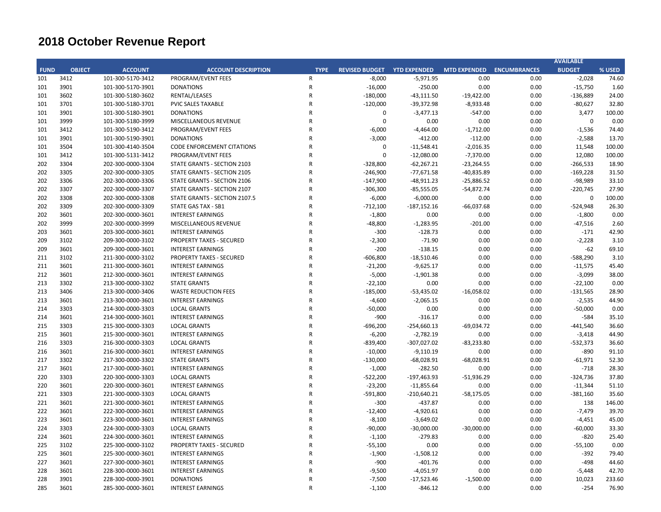|             |               |                   |                                   |              |                                    |               |                           |      | <b>AVAILABLE</b> |        |
|-------------|---------------|-------------------|-----------------------------------|--------------|------------------------------------|---------------|---------------------------|------|------------------|--------|
| <b>FUND</b> | <b>OBJECT</b> | <b>ACCOUNT</b>    | <b>ACCOUNT DESCRIPTION</b>        | <b>TYPE</b>  | <b>REVISED BUDGET YTD EXPENDED</b> |               | MTD EXPENDED ENCUMBRANCES |      | <b>BUDGET</b>    | % USED |
| 101         | 3412          | 101-300-5170-3412 | PROGRAM/EVENT FEES                | $\mathsf{R}$ | $-8,000$                           | $-5,971.95$   | 0.00                      | 0.00 | $-2,028$         | 74.60  |
| 101         | 3901          | 101-300-5170-3901 | <b>DONATIONS</b>                  | $\mathsf{R}$ | $-16,000$                          | $-250.00$     | 0.00                      | 0.00 | $-15,750$        | 1.60   |
| 101         | 3602          | 101-300-5180-3602 | RENTAL/LEASES                     | $\mathsf{R}$ | $-180,000$                         | $-43,111.50$  | $-19,422.00$              | 0.00 | $-136,889$       | 24.00  |
| 101         | 3701          | 101-300-5180-3701 | PVIC SALES TAXABLE                | ${\sf R}$    | $-120,000$                         | $-39,372.98$  | $-8,933.48$               | 0.00 | $-80,627$        | 32.80  |
| 101         | 3901          | 101-300-5180-3901 | <b>DONATIONS</b>                  | $\mathsf R$  | $\mathbf 0$                        | $-3,477.13$   | $-547.00$                 | 0.00 | 3,477            | 100.00 |
| 101         | 3999          | 101-300-5180-3999 | MISCELLANEOUS REVENUE             | R            | $\Omega$                           | 0.00          | 0.00                      | 0.00 | 0                | 0.00   |
| 101         | 3412          | 101-300-5190-3412 | PROGRAM/EVENT FEES                | $\mathsf R$  | $-6,000$                           | $-4,464.00$   | $-1,712.00$               | 0.00 | $-1,536$         | 74.40  |
| 101         | 3901          | 101-300-5190-3901 | <b>DONATIONS</b>                  | R            | $-3,000$                           | $-412.00$     | $-112.00$                 | 0.00 | $-2,588$         | 13.70  |
| 101         | 3504          | 101-300-4140-3504 | <b>CODE ENFORCEMENT CITATIONS</b> | $\mathsf R$  | $\mathbf 0$                        | $-11,548.41$  | $-2,016.35$               | 0.00 | 11,548           | 100.00 |
| 101         | 3412          | 101-300-5131-3412 | PROGRAM/EVENT FEES                | $\mathsf{R}$ | $\Omega$                           | $-12,080.00$  | $-7,370.00$               | 0.00 | 12,080           | 100.00 |
| 202         | 3304          | 202-300-0000-3304 | STATE GRANTS - SECTION 2103       | $\mathsf{R}$ | $-328,800$                         | $-62,267.21$  | $-23,264.55$              | 0.00 | $-266,533$       | 18.90  |
| 202         | 3305          | 202-300-0000-3305 | STATE GRANTS - SECTION 2105       | $\mathsf{R}$ | $-246,900$                         | $-77,671.58$  | $-40,835.89$              | 0.00 | $-169,228$       | 31.50  |
| 202         | 3306          | 202-300-0000-3306 | STATE GRANTS - SECTION 2106       | $\mathsf R$  | $-147,900$                         | $-48,911.23$  | $-25,886.52$              | 0.00 | $-98,989$        | 33.10  |
| 202         | 3307          | 202-300-0000-3307 | STATE GRANTS - SECTION 2107       | $\mathsf{R}$ | $-306,300$                         | $-85,555.05$  | $-54,872.74$              | 0.00 | $-220,745$       | 27.90  |
| 202         | 3308          | 202-300-0000-3308 | STATE GRANTS - SECTION 2107.5     | $\mathsf R$  | $-6,000$                           | $-6,000.00$   | 0.00                      | 0.00 | $\mathbf 0$      | 100.00 |
| 202         | 3309          | 202-300-0000-3309 | STATE GAS TAX - SB1               | R            | $-712,100$                         | $-187,152.16$ | $-66,037.68$              | 0.00 | $-524,948$       | 26.30  |
| 202         | 3601          | 202-300-0000-3601 | <b>INTEREST EARNINGS</b>          | $\mathsf{R}$ | $-1,800$                           | 0.00          | 0.00                      | 0.00 | $-1,800$         | 0.00   |
| 202         | 3999          | 202-300-0000-3999 | MISCELLANEOUS REVENUE             | $\mathsf R$  | $-48,800$                          | $-1,283.95$   | $-201.00$                 | 0.00 | $-47,516$        | 2.60   |
| 203         | 3601          | 203-300-0000-3601 | <b>INTEREST EARNINGS</b>          | ${\sf R}$    | $-300$                             | $-128.73$     | 0.00                      | 0.00 | $-171$           | 42.90  |
| 209         | 3102          | 209-300-0000-3102 | <b>PROPERTY TAXES - SECURED</b>   | $\mathsf{R}$ | $-2,300$                           | $-71.90$      | 0.00                      | 0.00 | $-2,228$         | 3.10   |
| 209         | 3601          | 209-300-0000-3601 | <b>INTEREST EARNINGS</b>          | R            | $-200$                             | $-138.15$     | 0.00                      | 0.00 | $-62$            | 69.10  |
| 211         | 3102          | 211-300-0000-3102 | <b>PROPERTY TAXES - SECURED</b>   | ${\sf R}$    | $-606,800$                         | $-18,510.46$  | 0.00                      | 0.00 | -588,290         | 3.10   |
| 211         | 3601          | 211-300-0000-3601 | <b>INTEREST EARNINGS</b>          | R            | $-21,200$                          | $-9,625.17$   | 0.00                      | 0.00 | $-11,575$        | 45.40  |
| 212         | 3601          | 212-300-0000-3601 | <b>INTEREST EARNINGS</b>          | $\mathsf R$  | $-5,000$                           | $-1,901.38$   | 0.00                      | 0.00 | $-3,099$         | 38.00  |
| 213         | 3302          | 213-300-0000-3302 | <b>STATE GRANTS</b>               | R            | $-22,100$                          | 0.00          | 0.00                      | 0.00 | $-22,100$        | 0.00   |
| 213         | 3406          | 213-300-0000-3406 | <b>WASTE REDUCTION FEES</b>       | $\mathsf R$  | $-185,000$                         | $-53,435.02$  | $-16,058.02$              | 0.00 | $-131,565$       | 28.90  |
| 213         | 3601          | 213-300-0000-3601 | <b>INTEREST EARNINGS</b>          | R            | $-4,600$                           | $-2,065.15$   | 0.00                      | 0.00 | $-2,535$         | 44.90  |
| 214         | 3303          | 214-300-0000-3303 | <b>LOCAL GRANTS</b>               | $\mathsf R$  | $-50,000$                          | 0.00          | 0.00                      | 0.00 | $-50,000$        | 0.00   |
| 214         | 3601          | 214-300-0000-3601 | <b>INTEREST EARNINGS</b>          | $\mathsf{R}$ | $-900$                             | $-316.17$     | 0.00                      | 0.00 | $-584$           | 35.10  |
| 215         | 3303          | 215-300-0000-3303 | <b>LOCAL GRANTS</b>               | ${\sf R}$    | $-696,200$                         | $-254,660.13$ | -69,034.72                | 0.00 | -441,540         | 36.60  |
| 215         | 3601          | 215-300-0000-3601 | <b>INTEREST EARNINGS</b>          | $\mathsf{R}$ | $-6,200$                           | $-2,782.19$   | 0.00                      | 0.00 | $-3,418$         | 44.90  |
| 216         | 3303          | 216-300-0000-3303 | <b>LOCAL GRANTS</b>               | ${\sf R}$    | $-839,400$                         | $-307,027.02$ | $-83,233.80$              | 0.00 | -532,373         | 36.60  |
| 216         | 3601          | 216-300-0000-3601 | <b>INTEREST EARNINGS</b>          | $\mathsf{R}$ | $-10,000$                          | $-9,110.19$   | 0.00                      | 0.00 | $-890$           | 91.10  |
| 217         | 3302          | 217-300-0000-3302 | <b>STATE GRANTS</b>               | $\mathsf R$  | $-130,000$                         | $-68,028.91$  | $-68,028.91$              | 0.00 | $-61,971$        | 52.30  |
| 217         | 3601          | 217-300-0000-3601 | <b>INTEREST EARNINGS</b>          | $\mathsf R$  | $-1,000$                           | $-282.50$     | 0.00                      | 0.00 | $-718$           | 28.30  |
| 220         | 3303          | 220-300-0000-3303 | <b>LOCAL GRANTS</b>               | ${\sf R}$    | $-522,200$                         | $-197,463.93$ | $-51,936.29$              | 0.00 | -324,736         | 37.80  |
| 220         | 3601          | 220-300-0000-3601 | <b>INTEREST EARNINGS</b>          | $\mathsf{R}$ | $-23,200$                          | $-11,855.64$  | 0.00                      | 0.00 | $-11,344$        | 51.10  |
| 221         | 3303          | 221-300-0000-3303 | <b>LOCAL GRANTS</b>               | ${\sf R}$    | $-591,800$                         | $-210,640.21$ | $-58,175.05$              | 0.00 | $-381,160$       | 35.60  |
| 221         | 3601          | 221-300-0000-3601 | <b>INTEREST EARNINGS</b>          | $\mathsf{R}$ | $-300$                             | $-437.87$     | 0.00                      | 0.00 | 138              | 146.00 |
| 222         | 3601          | 222-300-0000-3601 | <b>INTEREST EARNINGS</b>          | $\mathsf R$  | $-12,400$                          | $-4,920.61$   | 0.00                      | 0.00 | $-7,479$         | 39.70  |
| 223         | 3601          | 223-300-0000-3601 | <b>INTEREST EARNINGS</b>          | ${\sf R}$    | $-8,100$                           | $-3,649.02$   | 0.00                      | 0.00 | $-4,451$         | 45.00  |
| 224         | 3303          | 224-300-0000-3303 | <b>LOCAL GRANTS</b>               | $\mathsf{R}$ | $-90,000$                          | $-30,000.00$  | $-30,000.00$              | 0.00 | $-60,000$        | 33.30  |
| 224         | 3601          | 224-300-0000-3601 | <b>INTEREST EARNINGS</b>          | $\mathsf R$  | $-1,100$                           | $-279.83$     | 0.00                      | 0.00 | $-820$           | 25.40  |
| 225         | 3102          | 225-300-0000-3102 | PROPERTY TAXES - SECURED          | R            | $-55,100$                          | 0.00          | 0.00                      | 0.00 | $-55,100$        | 0.00   |
| 225         | 3601          | 225-300-0000-3601 | <b>INTEREST EARNINGS</b>          | R            | $-1,900$                           | $-1,508.12$   | 0.00                      | 0.00 | $-392$           | 79.40  |
| 227         | 3601          | 227-300-0000-3601 | <b>INTEREST EARNINGS</b>          | R            | $-900$                             | $-401.76$     | 0.00                      | 0.00 | $-498$           | 44.60  |
| 228         | 3601          | 228-300-0000-3601 | <b>INTEREST EARNINGS</b>          | R            | $-9,500$                           | $-4,051.97$   | 0.00                      | 0.00 | $-5,448$         | 42.70  |
| 228         | 3901          | 228-300-0000-3901 | <b>DONATIONS</b>                  | R            | $-7,500$                           | $-17,523.46$  | $-1,500.00$               | 0.00 | 10,023           | 233.60 |
| 285         | 3601          | 285-300-0000-3601 | <b>INTEREST EARNINGS</b>          | $\mathsf{R}$ | $-1,100$                           | $-846.12$     | 0.00                      | 0.00 | $-254$           | 76.90  |
|             |               |                   |                                   |              |                                    |               |                           |      |                  |        |